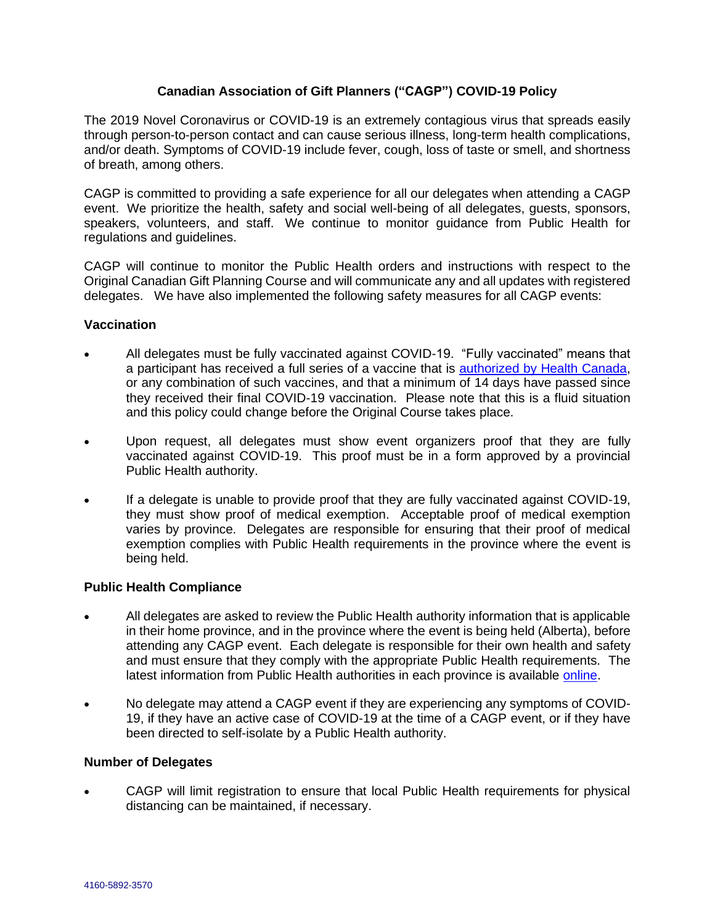## **Canadian Association of Gift Planners ("CAGP") COVID-19 Policy**

The 2019 Novel Coronavirus or COVID-19 is an extremely contagious virus that spreads easily through person-to-person contact and can cause serious illness, long-term health complications, and/or death. Symptoms of COVID-19 include fever, cough, loss of taste or smell, and shortness of breath, among others.

CAGP is committed to providing a safe experience for all our delegates when attending a CAGP event. We prioritize the health, safety and social well-being of all delegates, guests, sponsors, speakers, volunteers, and staff. We continue to monitor guidance from Public Health for regulations and guidelines.

CAGP will continue to monitor the Public Health orders and instructions with respect to the Original Canadian Gift Planning Course and will communicate any and all updates with registered delegates. We have also implemented the following safety measures for all CAGP events:

## **Vaccination**

- All delegates must be fully vaccinated against COVID-19. "Fully vaccinated" means that a participant has received a full series of a vaccine that is [authorized by Health Canada,](https://www.canada.ca/en/health-canada/services/drugs-health-products/covid19-industry/drugs-vaccines-treatments/vaccines.html) or any combination of such vaccines, and that a minimum of 14 days have passed since they received their final COVID-19 vaccination. Please note that this is a fluid situation and this policy could change before the Original Course takes place.
- Upon request, all delegates must show event organizers proof that they are fully vaccinated against COVID-19. This proof must be in a form approved by a provincial Public Health authority.
- If a delegate is unable to provide proof that they are fully vaccinated against COVID-19, they must show proof of medical exemption. Acceptable proof of medical exemption varies by province. Delegates are responsible for ensuring that their proof of medical exemption complies with Public Health requirements in the province where the event is being held.

# **Public Health Compliance**

- All delegates are asked to review the Public Health authority information that is applicable in their home province, and in the province where the event is being held (Alberta), before attending any CAGP event. Each delegate is responsible for their own health and safety and must ensure that they comply with the appropriate Public Health requirements. The latest information from Public Health authorities in each province is available [online.](https://www.canada.ca/en/public-health/services/diseases/2019-novel-coronavirus-infection/symptoms/provincial-territorial-resources-covid-19.html#a2)
- No delegate may attend a CAGP event if they are experiencing any symptoms of COVID-19, if they have an active case of COVID-19 at the time of a CAGP event, or if they have been directed to self-isolate by a Public Health authority.

## **Number of Delegates**

• CAGP will limit registration to ensure that local Public Health requirements for physical distancing can be maintained, if necessary.